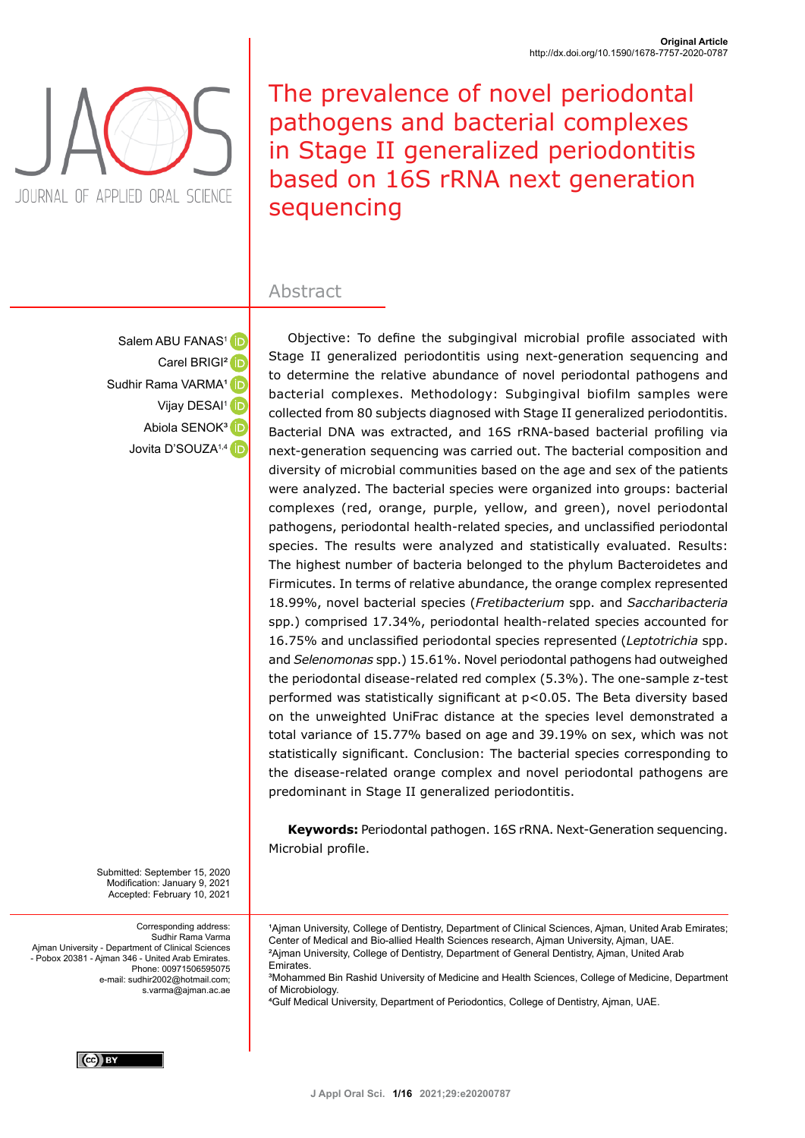

The prevalence of novel periodontal pathogens and bacterial complexes in Stage II generalized periodontitis based on 16S rRNA next generation sequencing

## Abstract

Salem ABU FANAS<sup>1</sup> D Carel BRIGI<sup>2</sup> iD Sudhir Rama VARMA<sup>1</sup> Vijay DESAI<sup>1</sup> Abiola SENOK<sup>3</sup> Jovita D'SOUZA<sup>1,4</sup>

Objective: To define the subgingival microbial profile associated with Stage II generalized periodontitis using next-generation sequencing and to determine the relative abundance of novel periodontal pathogens and bacterial complexes. Methodology: Subgingival biofilm samples were collected from 80 subjects diagnosed with Stage II generalized periodontitis. Bacterial DNA was extracted, and 16S rRNA-based bacterial profiling via next-generation sequencing was carried out. The bacterial composition and diversity of microbial communities based on the age and sex of the patients were analyzed. The bacterial species were organized into groups: bacterial complexes (red, orange, purple, yellow, and green), novel periodontal pathogens, periodontal health-related species, and unclassified periodontal species. The results were analyzed and statistically evaluated. Results: The highest number of bacteria belonged to the phylum Bacteroidetes and Firmicutes. In terms of relative abundance, the orange complex represented 18.99%, novel bacterial species (*Fretibacterium* spp. and *Saccharibacteria*  spp.) comprised 17.34%, periodontal health-related species accounted for 16.75% and unclassified periodontal species represented (*Leptotrichia* spp. and *Selenomonas* spp.) 15.61%. Novel periodontal pathogens had outweighed the periodontal disease-related red complex (5.3%). The one-sample z-test performed was statistically significant at p<0.05. The Beta diversity based on the unweighted UniFrac distance at the species level demonstrated a total variance of 15.77% based on age and 39.19% on sex, which was not statistically significant. Conclusion: The bacterial species corresponding to the disease-related orange complex and novel periodontal pathogens are predominant in Stage II generalized periodontitis.

**Keywords:** Periodontal pathogen. 16S rRNA. Next-Generation sequencing. Microbial profile.

<sup>1</sup>Ajman University, College of Dentistry, Department of Clinical Sciences, Ajman, United Arab Emirates;

³Mohammed Bin Rashid University of Medicine and Health Sciences, College of Medicine, Department

Center of Medical and Bio-allied Health Sciences research, Ajman University, Ajman, UAE. ²Ajman University, College of Dentistry, Department of General Dentistry, Ajman, United Arab

⁴Gulf Medical University, Department of Periodontics, College of Dentistry, Ajman, UAE.

Submitted: September 15, 2020 Modification: January 9, 2021 Accepted: February 10, 2021

**Emirates** 

of Microbiology.

Corresponding address: Sudhir Rama Varma Ajman University - Department of Clinical Sciences - Pobox 20381 - Ajman 346 - United Arab Emirates. Phone: 00971506595075 e-mail: sudhir2002@hotmail.com; s.varma@ajman.ac.ae

 $(cc)$  BY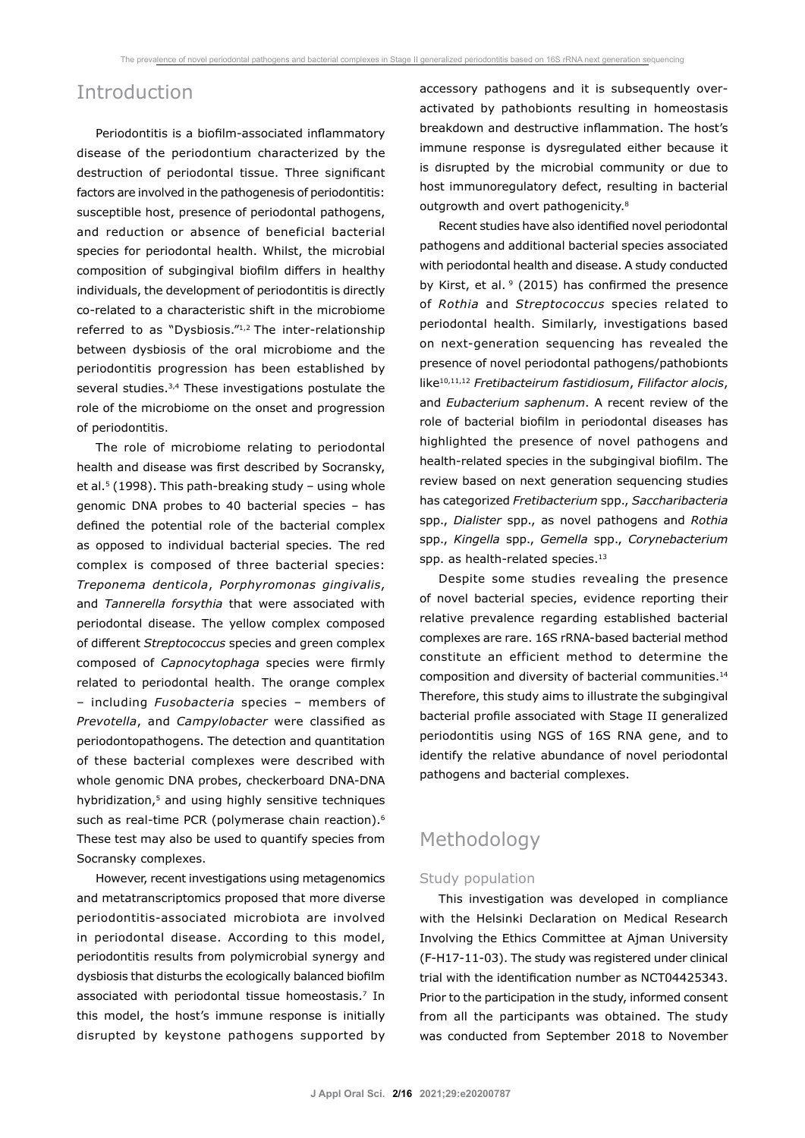## Introduction

Periodontitis is a biofilm-associated inflammatory disease of the periodontium characterized by the destruction of periodontal tissue. Three significant factors are involved in the pathogenesis of periodontitis: susceptible host, presence of periodontal pathogens, and reduction or absence of beneficial bacterial species for periodontal health. Whilst, the microbial composition of subgingival biofilm differs in healthy individuals, the development of periodontitis is directly co-related to a characteristic shift in the microbiome referred to as "Dysbiosis."1,2 The inter-relationship between dysbiosis of the oral microbiome and the periodontitis progression has been established by several studies.<sup>3,4</sup> These investigations postulate the role of the microbiome on the onset and progression of periodontitis.

The role of microbiome relating to periodontal health and disease was first described by Socransky, et al.<sup>5</sup> (1998). This path-breaking study – using whole genomic DNA probes to 40 bacterial species – has defined the potential role of the bacterial complex as opposed to individual bacterial species. The red complex is composed of three bacterial species: *Treponema denticola*, *Porphyromonas gingivalis*, and *Tannerella forsythia* that were associated with periodontal disease. The yellow complex composed of different *Streptococcus* species and green complex composed of *Capnocytophaga* species were firmly related to periodontal health. The orange complex – including *Fusobacteria* species – members of *Prevotella*, and *Campylobacter* were classified as periodontopathogens. The detection and quantitation of these bacterial complexes were described with whole genomic DNA probes, checkerboard DNA-DNA hybridization,<sup>5</sup> and using highly sensitive techniques such as real-time PCR (polymerase chain reaction).<sup>6</sup> These test may also be used to quantify species from Socransky complexes.

However, recent investigations using metagenomics and metatranscriptomics proposed that more diverse periodontitis-associated microbiota are involved in periodontal disease. According to this model, periodontitis results from polymicrobial synergy and dysbiosis that disturbs the ecologically balanced biofilm associated with periodontal tissue homeostasis.<sup>7</sup> In this model, the host's immune response is initially disrupted by keystone pathogens supported by accessory pathogens and it is subsequently overactivated by pathobionts resulting in homeostasis breakdown and destructive inflammation. The host's immune response is dysregulated either because it is disrupted by the microbial community or due to host immunoregulatory defect, resulting in bacterial outgrowth and overt pathogenicity.<sup>8</sup>

Recent studies have also identified novel periodontal pathogens and additional bacterial species associated with periodontal health and disease. A study conducted by Kirst, et al.  $9$  (2015) has confirmed the presence of *Rothia* and *Streptococcus* species related to periodontal health. Similarly, investigations based on next-generation sequencing has revealed the presence of novel periodontal pathogens/pathobionts like10,11,12 *Fretibacteirum fastidiosum*, *Filifactor alocis*, and *Eubacterium saphenum*. A recent review of the role of bacterial biofilm in periodontal diseases has highlighted the presence of novel pathogens and health-related species in the subgingival biofilm. The review based on next generation sequencing studies has categorized *Fretibacterium* spp., *Saccharibacteria* spp., *Dialister* spp., as novel pathogens and *Rothia* spp., *Kingella* spp., *Gemella* spp., *Corynebacterium*  spp. as health-related species.<sup>13</sup>

Despite some studies revealing the presence of novel bacterial species, evidence reporting their relative prevalence regarding established bacterial complexes are rare. 16S rRNA-based bacterial method constitute an efficient method to determine the composition and diversity of bacterial communities.<sup>14</sup> Therefore, this study aims to illustrate the subgingival bacterial profile associated with Stage II generalized periodontitis using NGS of 16S RNA gene, and to identify the relative abundance of novel periodontal pathogens and bacterial complexes.

# Methodology

### Study population

This investigation was developed in compliance with the Helsinki Declaration on Medical Research Involving the Ethics Committee at Ajman University (F-H17-11-03). The study was registered under clinical trial with the identification number as NCT04425343. Prior to the participation in the study, informed consent from all the participants was obtained. The study was conducted from September 2018 to November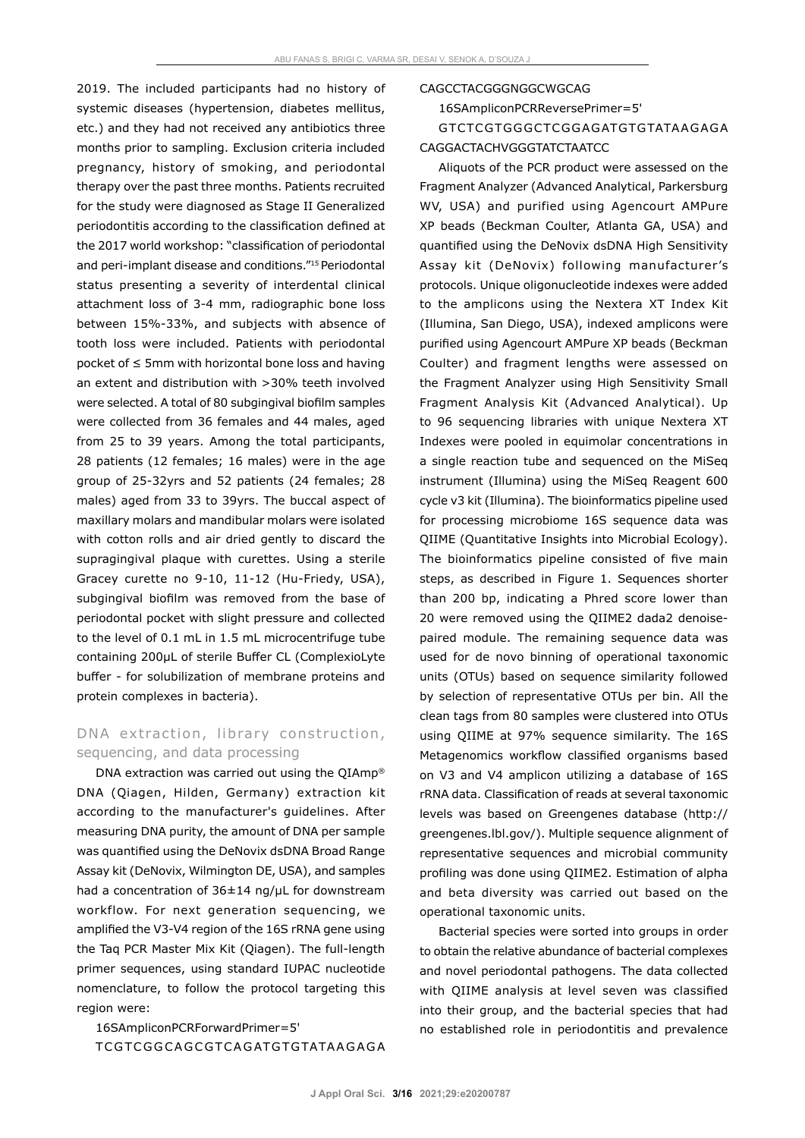2019. The included participants had no history of systemic diseases (hypertension, diabetes mellitus, etc.) and they had not received any antibiotics three months prior to sampling. Exclusion criteria included pregnancy, history of smoking, and periodontal therapy over the past three months. Patients recruited for the study were diagnosed as Stage II Generalized periodontitis according to the classification defined at the 2017 world workshop: "classification of periodontal and peri-implant disease and conditions."15 Periodontal status presenting a severity of interdental clinical attachment loss of 3-4 mm, radiographic bone loss between 15%-33%, and subjects with absence of tooth loss were included. Patients with periodontal pocket of ≤ 5mm with horizontal bone loss and having an extent and distribution with >30% teeth involved were selected. A total of 80 subgingival biofilm samples were collected from 36 females and 44 males, aged from 25 to 39 years. Among the total participants, 28 patients (12 females; 16 males) were in the age group of 25-32yrs and 52 patients (24 females; 28 males) aged from 33 to 39yrs. The buccal aspect of maxillary molars and mandibular molars were isolated with cotton rolls and air dried gently to discard the supragingival plaque with curettes. Using a sterile Gracey curette no 9-10, 11-12 (Hu-Friedy, USA), subgingival biofilm was removed from the base of periodontal pocket with slight pressure and collected to the level of 0.1 mL in 1.5 mL microcentrifuge tube containing 200µL of sterile Buffer CL (ComplexioLyte buffer - for solubilization of membrane proteins and protein complexes in bacteria).

## DNA extraction, library construction, sequencing, and data processing

DNA extraction was carried out using the QIAmp® DNA (Qiagen, Hilden, Germany) extraction kit according to the manufacturer's guidelines. After measuring DNA purity, the amount of DNA per sample was quantified using the DeNovix dsDNA Broad Range Assay kit (DeNovix, Wilmington DE, USA), and samples had a concentration of  $36\pm14$  ng/ $\mu$ L for downstream workflow. For next generation sequencing, we amplified the V3-V4 region of the 16S rRNA gene using the Taq PCR Master Mix Kit (Qiagen). The full-length primer sequences, using standard IUPAC nucleotide nomenclature, to follow the protocol targeting this region were:

16SAmpliconPCRForwardPrimer=5'

TC G TC G G C A G C G TC A G ATG TG TATA A G A G A

#### CAGCCTACGGGNGGCWGCAG

16SAmpliconPCRReversePrimer=5'

GTCTCGTGGGCTCGGAGATGTGTATAAGAGA CAGGACTACHVGGGTATCTAATCC

Aliquots of the PCR product were assessed on the Fragment Analyzer (Advanced Analytical, Parkersburg WV, USA) and purified using Agencourt AMPure XP beads (Beckman Coulter, Atlanta GA, USA) and quantified using the DeNovix dsDNA High Sensitivity Assay kit (DeNovix) following manufacturer's protocols. Unique oligonucleotide indexes were added to the amplicons using the Nextera XT Index Kit (Illumina, San Diego, USA), indexed amplicons were purified using Agencourt AMPure XP beads (Beckman Coulter) and fragment lengths were assessed on the Fragment Analyzer using High Sensitivity Small Fragment Analysis Kit (Advanced Analytical). Up to 96 sequencing libraries with unique Nextera XT Indexes were pooled in equimolar concentrations in a single reaction tube and sequenced on the MiSeq instrument (Illumina) using the MiSeq Reagent 600 cycle v3 kit (Illumina). The bioinformatics pipeline used for processing microbiome 16S sequence data was QIIME (Quantitative Insights into Microbial Ecology). The bioinformatics pipeline consisted of five main steps, as described in Figure 1. Sequences shorter than 200 bp, indicating a Phred score lower than 20 were removed using the QIIME2 dada2 denoisepaired module. The remaining sequence data was used for de novo binning of operational taxonomic units (OTUs) based on sequence similarity followed by selection of representative OTUs per bin. All the clean tags from 80 samples were clustered into OTUs using QIIME at 97% sequence similarity. The 16S Metagenomics workflow classified organisms based on V3 and V4 amplicon utilizing a database of 16S rRNA data. Classification of reads at several taxonomic levels was based on Greengenes database (http:// greengenes.lbl.gov/). Multiple sequence alignment of representative sequences and microbial community profiling was done using QIIME2. Estimation of alpha and beta diversity was carried out based on the operational taxonomic units.

Bacterial species were sorted into groups in order to obtain the relative abundance of bacterial complexes and novel periodontal pathogens. The data collected with QIIME analysis at level seven was classified into their group, and the bacterial species that had no established role in periodontitis and prevalence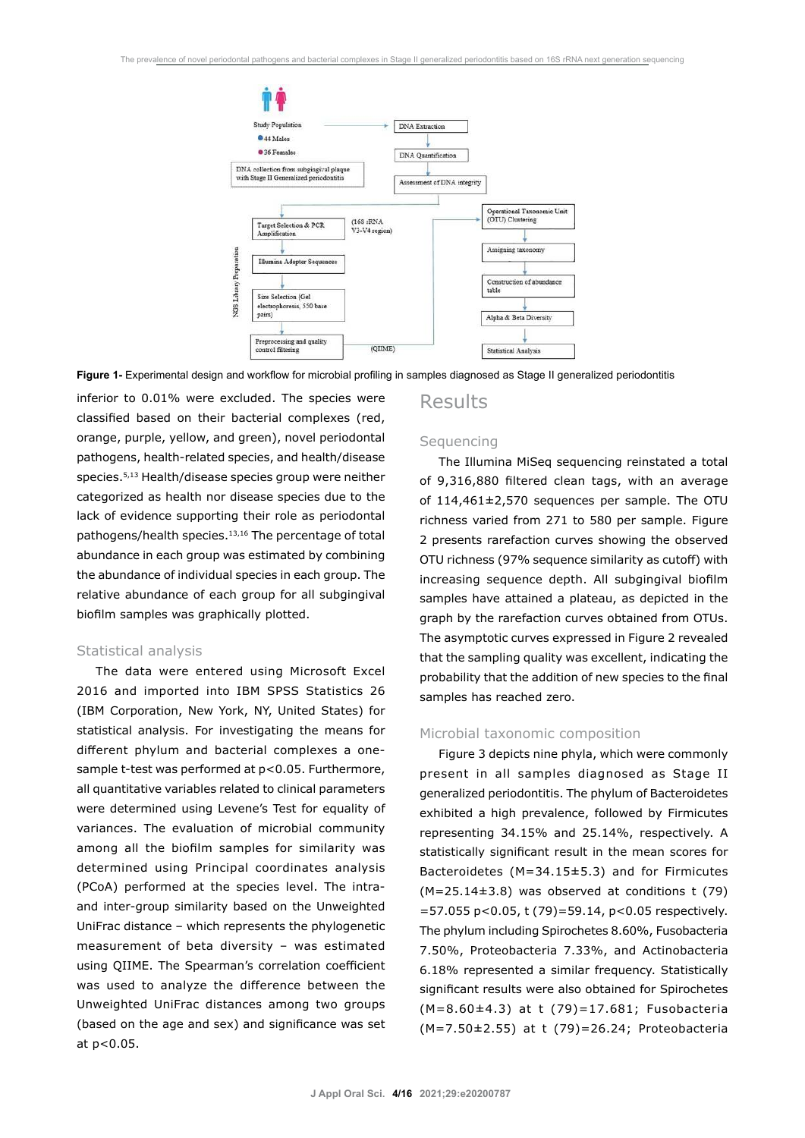

**Figure 1-** Experimental design and workflow for microbial profiling in samples diagnosed as Stage II generalized periodontitis

inferior to 0.01% were excluded. The species were classified based on their bacterial complexes (red, orange, purple, yellow, and green), novel periodontal pathogens, health-related species, and health/disease species.5,13 Health/disease species group were neither categorized as health nor disease species due to the lack of evidence supporting their role as periodontal pathogens/health species.<sup>13,16</sup> The percentage of total abundance in each group was estimated by combining the abundance of individual species in each group. The relative abundance of each group for all subgingival biofilm samples was graphically plotted.

#### Statistical analysis

The data were entered using Microsoft Excel 2016 and imported into IBM SPSS Statistics 26 (IBM Corporation, New York, NY, United States) for statistical analysis. For investigating the means for different phylum and bacterial complexes a onesample t-test was performed at p<0.05. Furthermore, all quantitative variables related to clinical parameters were determined using Levene's Test for equality of variances. The evaluation of microbial community among all the biofilm samples for similarity was determined using Principal coordinates analysis (PCoA) performed at the species level. The intraand inter-group similarity based on the Unweighted UniFrac distance – which represents the phylogenetic measurement of beta diversity – was estimated using QIIME. The Spearman's correlation coefficient was used to analyze the difference between the Unweighted UniFrac distances among two groups (based on the age and sex) and significance was set at p<0.05.

## Results

### **Sequencing**

The Illumina MiSeq sequencing reinstated a total of 9,316,880 filtered clean tags, with an average of 114,461±2,570 sequences per sample. The OTU richness varied from 271 to 580 per sample. Figure 2 presents rarefaction curves showing the observed OTU richness (97% sequence similarity as cutoff) with increasing sequence depth. All subgingival biofilm samples have attained a plateau, as depicted in the graph by the rarefaction curves obtained from OTUs. The asymptotic curves expressed in Figure 2 revealed that the sampling quality was excellent, indicating the probability that the addition of new species to the final samples has reached zero.

### Microbial taxonomic composition

Figure 3 depicts nine phyla, which were commonly present in all samples diagnosed as Stage II generalized periodontitis. The phylum of Bacteroidetes exhibited a high prevalence, followed by Firmicutes representing 34.15% and 25.14%, respectively. A statistically significant result in the mean scores for Bacteroidetes (M=34.15±5.3) and for Firmicutes  $(M=25.14\pm3.8)$  was observed at conditions t (79) =57.055 p<0.05, t (79)=59.14, p<0.05 respectively. The phylum including Spirochetes 8.60%, Fusobacteria 7.50%, Proteobacteria 7.33%, and Actinobacteria 6.18% represented a similar frequency. Statistically significant results were also obtained for Spirochetes (M=8.60±4.3) at t (79)=17.681; Fusobacteria (M=7.50±2.55) at t (79)=26.24; Proteobacteria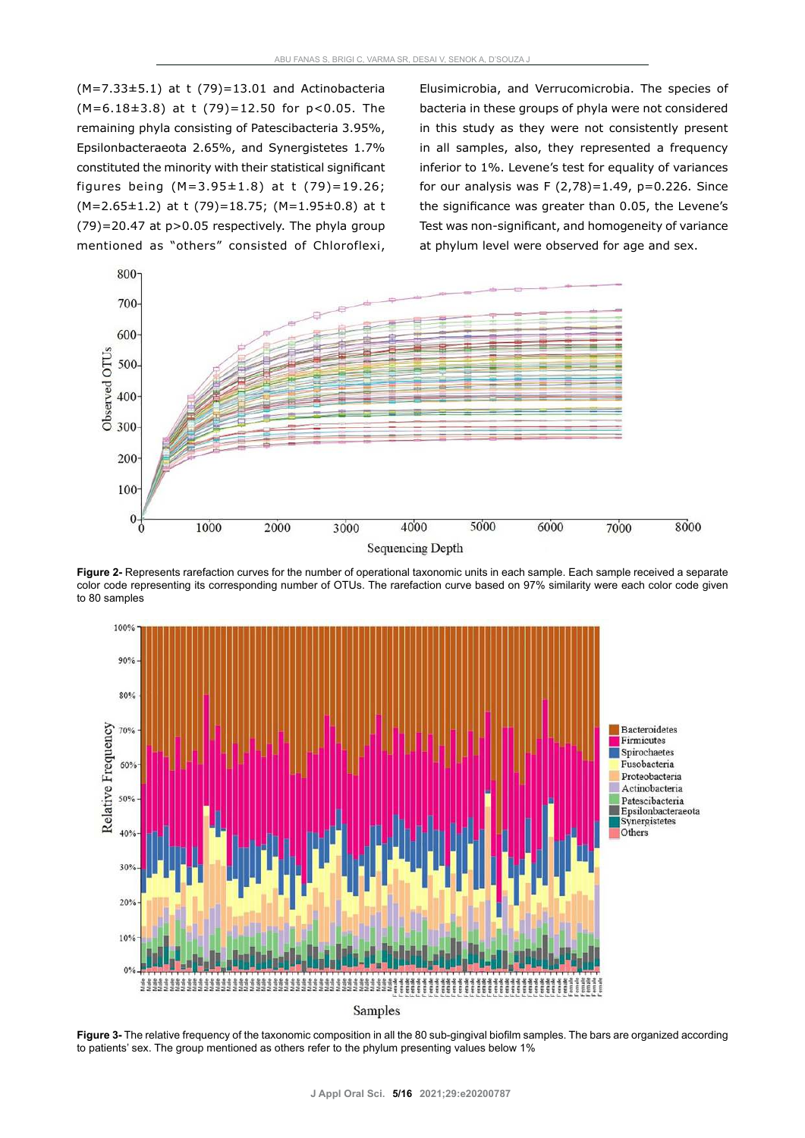$(M=7.33\pm5.1)$  at t  $(79)=13.01$  and Actinobacteria (M=6.18±3.8) at t (79)=12.50 for p<0.05. The remaining phyla consisting of Patescibacteria 3.95%, Epsilonbacteraeota 2.65%, and Synergistetes 1.7% constituted the minority with their statistical significant figures being  $(M=3.95\pm1.8)$  at t  $(79)=19.26$ ; (M=2.65±1.2) at t (79)=18.75; (M=1.95±0.8) at t (79)=20.47 at p>0.05 respectively. The phyla group mentioned as "others" consisted of Chloroflexi,

Elusimicrobia, and Verrucomicrobia. The species of bacteria in these groups of phyla were not considered in this study as they were not consistently present in all samples, also, they represented a frequency inferior to 1%. Levene's test for equality of variances for our analysis was  $F(2,78)=1.49$ ,  $p=0.226$ . Since the significance was greater than 0.05, the Levene's Test was non-significant, and homogeneity of variance at phylum level were observed for age and sex.



**Figure 2-** Represents rarefaction curves for the number of operational taxonomic units in each sample. Each sample received a separate color code representing its corresponding number of OTUs. The rarefaction curve based on 97% similarity were each color code given to 80 samples



**Figure 3-** The relative frequency of the taxonomic composition in all the 80 sub-gingival biofilm samples. The bars are organized according to patients' sex. The group mentioned as others refer to the phylum presenting values below 1%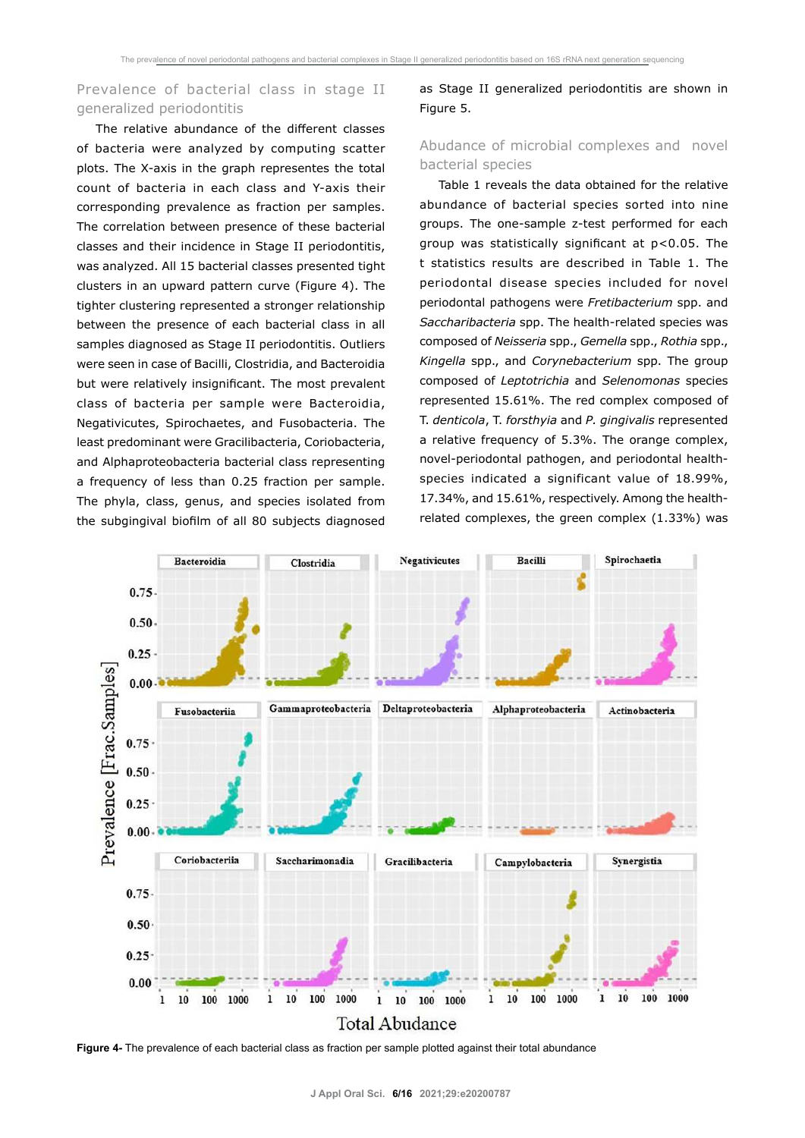## Prevalence of bacterial class in stage II generalized periodontitis

The relative abundance of the different classes of bacteria were analyzed by computing scatter plots. The X-axis in the graph representes the total count of bacteria in each class and Y-axis their corresponding prevalence as fraction per samples. The correlation between presence of these bacterial classes and their incidence in Stage II periodontitis, was analyzed. All 15 bacterial classes presented tight clusters in an upward pattern curve (Figure 4). The tighter clustering represented a stronger relationship between the presence of each bacterial class in all samples diagnosed as Stage II periodontitis. Outliers were seen in case of Bacilli, Clostridia, and Bacteroidia but were relatively insignificant. The most prevalent class of bacteria per sample were Bacteroidia, Negativicutes, Spirochaetes, and Fusobacteria. The least predominant were Gracilibacteria, Coriobacteria, and Alphaproteobacteria bacterial class representing a frequency of less than 0.25 fraction per sample. The phyla, class, genus, and species isolated from the subgingival biofilm of all 80 subjects diagnosed

as Stage II generalized periodontitis are shown in Figure 5.

## Abudance of microbial complexes and novel bacterial species

Table 1 reveals the data obtained for the relative abundance of bacterial species sorted into nine groups. The one-sample z-test performed for each group was statistically significant at p<0.05. The t statistics results are described in Table 1. The periodontal disease species included for novel periodontal pathogens were *Fretibacterium* spp. and *Saccharibacteria* spp. The health-related species was composed of *Neisseria* spp., *Gemella* spp., *Rothia* spp., *Kingella* spp., and *Corynebacterium* spp. The group composed of *Leptotrichia* and *Selenomonas* species represented 15.61%. The red complex composed of T. *denticola*, T. *forsthyia* and *P. gingivalis* represented a relative frequency of 5.3%. The orange complex, novel-periodontal pathogen, and periodontal healthspecies indicated a significant value of 18.99%, 17.34%, and 15.61%, respectively. Among the healthrelated complexes, the green complex (1.33%) was



**Figure 4-** The prevalence of each bacterial class as fraction per sample plotted against their total abundance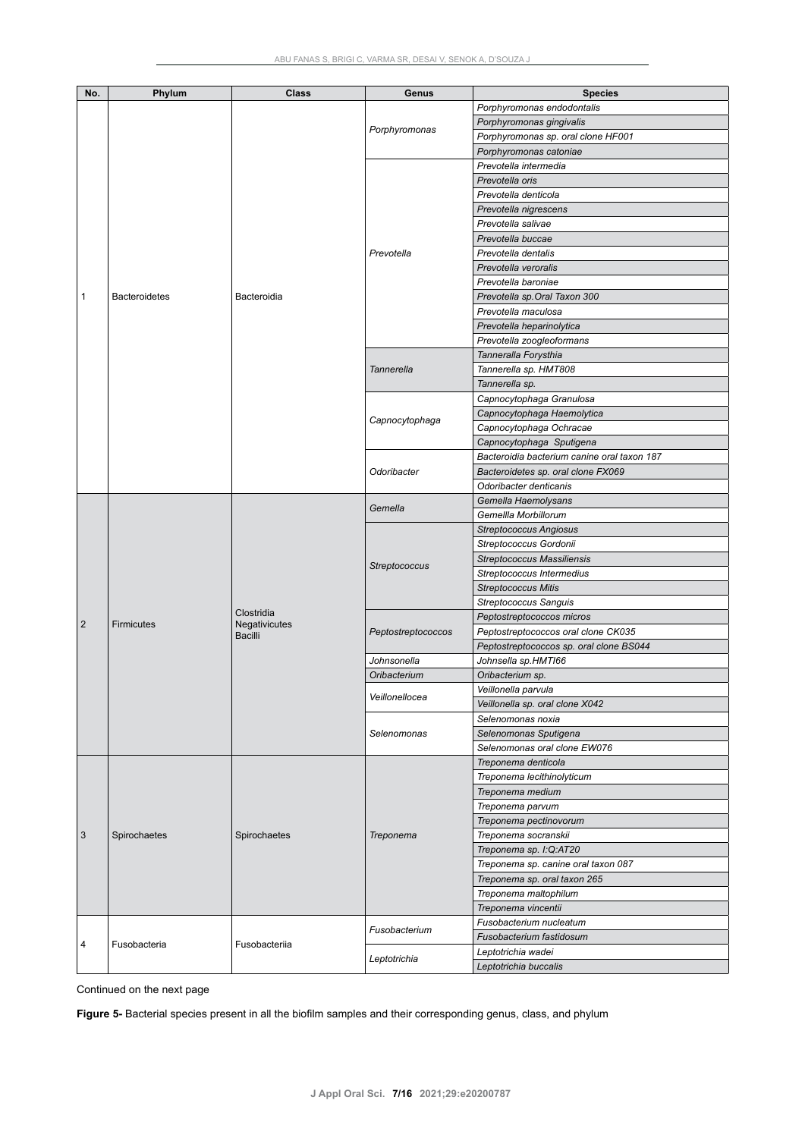| No.            | Phylum               | <b>Class</b>                                  | Genus              | <b>Species</b>                              |
|----------------|----------------------|-----------------------------------------------|--------------------|---------------------------------------------|
|                |                      |                                               |                    | Porphyromonas endodontalis                  |
|                |                      |                                               |                    |                                             |
|                |                      |                                               | Porphyromonas      | Porphyromonas gingivalis                    |
|                |                      |                                               |                    | Porphyromonas sp. oral clone HF001          |
|                |                      |                                               |                    | Porphyromonas catoniae                      |
|                | <b>Bacteroidetes</b> | Bacteroidia                                   |                    | Prevotella intermedia                       |
|                |                      |                                               |                    | Prevotella oris                             |
|                |                      |                                               | Prevotella         | Prevotella denticola                        |
|                |                      |                                               |                    | Prevotella nigrescens                       |
|                |                      |                                               |                    | Prevotella salivae                          |
|                |                      |                                               |                    | Prevotella buccae                           |
|                |                      |                                               |                    | Prevotella dentalis                         |
|                |                      |                                               |                    | Prevotella veroralis                        |
|                |                      |                                               |                    | Prevotella baroniae                         |
| 1              |                      |                                               |                    | Prevotella sp.Oral Taxon 300                |
|                |                      |                                               |                    | Prevotella maculosa                         |
|                |                      |                                               |                    |                                             |
|                |                      |                                               |                    | Prevotella heparinolytica                   |
|                |                      |                                               |                    | Prevotella zoogleoformans                   |
|                |                      |                                               | Tannerella         | Tanneralla Forysthia                        |
|                |                      |                                               |                    | Tannerella sp. HMT808                       |
|                |                      |                                               |                    | Tannerella sp.                              |
|                |                      |                                               |                    | Capnocytophaga Granulosa                    |
|                |                      |                                               | Capnocytophaga     | Capnocytophaga Haemolytica                  |
|                |                      |                                               |                    | Capnocytophaga Ochracae                     |
|                |                      |                                               |                    | Capnocytophaga Sputigena                    |
|                |                      |                                               |                    | Bacteroidia bacterium canine oral taxon 187 |
|                |                      |                                               | Odoribacter        | Bacteroidetes sp. oral clone FX069          |
|                |                      |                                               |                    | Odoribacter denticanis                      |
|                |                      |                                               |                    | Gemella Haemolysans                         |
|                | <b>Firmicutes</b>    |                                               | Gemella            | Gemellla Morbillorum                        |
|                |                      |                                               |                    |                                             |
|                |                      |                                               | Streptococcus      | <b>Streptococcus Angiosus</b>               |
|                |                      |                                               |                    | Streptococcus Gordonii                      |
|                |                      |                                               |                    | <b>Streptococcus Massiliensis</b>           |
|                |                      |                                               |                    | Streptococcus Intermedius                   |
|                |                      |                                               |                    | <b>Streptococcus Mitis</b>                  |
|                |                      |                                               |                    | Streptococcus Sanguis                       |
| $\overline{2}$ |                      | Clostridia<br>Negativicutes<br><b>Bacilli</b> | Peptostreptococcos | Peptostreptococcos micros                   |
|                |                      |                                               |                    | Peptostreptococcos oral clone CK035         |
|                |                      |                                               |                    | Peptostreptococcos sp. oral clone BS044     |
|                |                      |                                               | Johnsonella        | Johnsella sp.HMTI66                         |
|                |                      |                                               | Oribacterium       | Oribacterium sp.                            |
|                |                      |                                               |                    | Veillonella parvula                         |
|                |                      |                                               | Veillonellocea     | Veillonella sp. oral clone X042             |
|                |                      |                                               | Selenomonas        | Selenomonas noxia                           |
|                |                      |                                               |                    | Selenomonas Sputigena                       |
|                |                      |                                               |                    | Selenomonas oral clone EW076                |
|                |                      |                                               |                    |                                             |
|                | Spirochaetes         | Spirochaetes                                  | Treponema          | Treponema denticola                         |
|                |                      |                                               |                    | Treponema lecithinolyticum                  |
|                |                      |                                               |                    | Treponema medium                            |
|                |                      |                                               |                    | Treponema parvum                            |
| $\sqrt{3}$     |                      |                                               |                    | Treponema pectinovorum                      |
|                |                      |                                               |                    | Treponema socranskii                        |
|                |                      |                                               |                    | Treponema sp. I:Q:AT20                      |
|                |                      |                                               |                    | Treponema sp. canine oral taxon 087         |
|                |                      |                                               |                    | Treponema sp. oral taxon 265                |
|                |                      |                                               |                    | Treponema maltophilum                       |
|                |                      |                                               |                    | Treponema vincentii                         |
|                | Fusobacteria         | Fusobacteriia                                 |                    | Fusobacterium nucleatum                     |
|                |                      |                                               | Fusobacterium      | Fusobacterium fastidosum                    |
| 4              |                      |                                               |                    |                                             |
|                |                      |                                               | Leptotrichia       | Leptotrichia wadei                          |
|                |                      |                                               |                    | Leptotrichia buccalis                       |

Continued on the next page

**Figure 5-** Bacterial species present in all the biofilm samples and their corresponding genus, class, and phylum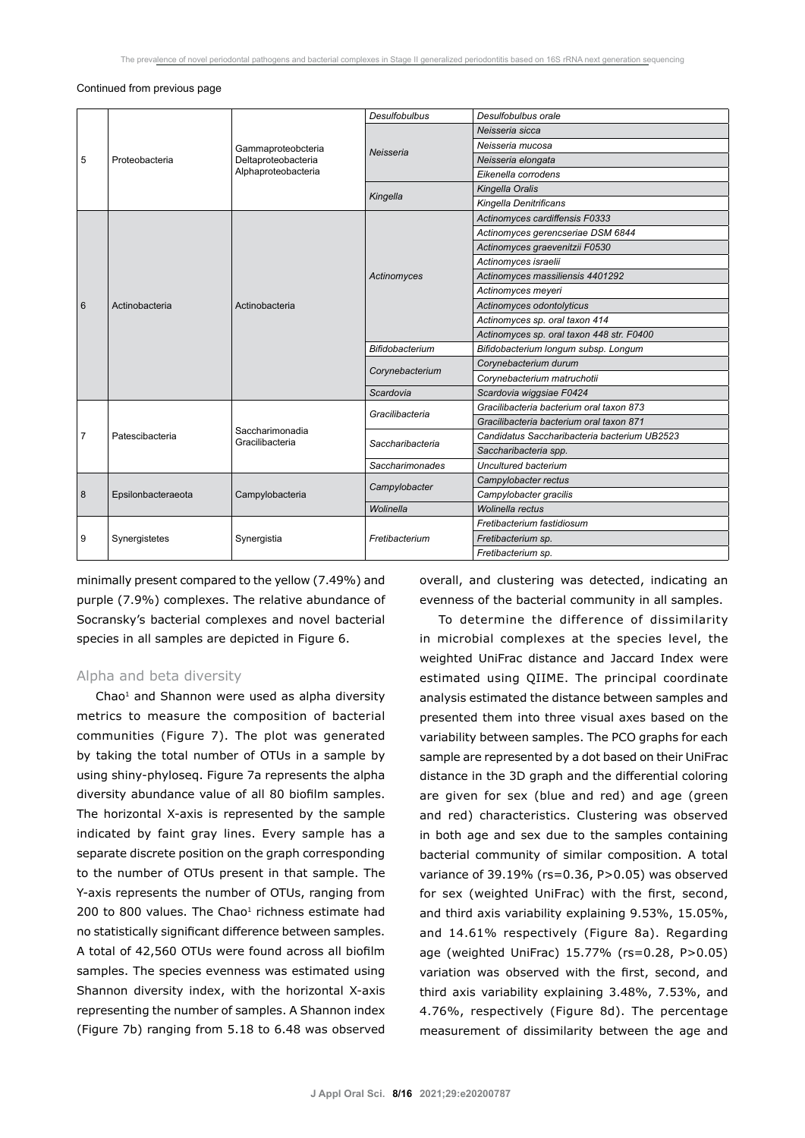#### Continued from previous page

| 5 | Proteobacteria     | Gammaproteobcteria<br>Deltaproteobacteria<br>Alphaproteobacteria | <b>Desulfobulbus</b>   | Desulfobulbus orale                          |  |
|---|--------------------|------------------------------------------------------------------|------------------------|----------------------------------------------|--|
|   |                    |                                                                  | Neisseria              | Neisseria sicca                              |  |
|   |                    |                                                                  |                        | Neisseria mucosa                             |  |
|   |                    |                                                                  |                        | Neisseria elongata                           |  |
|   |                    |                                                                  |                        | Eikenella corrodens                          |  |
|   |                    |                                                                  | Kingella               | Kingella Oralis                              |  |
|   |                    |                                                                  |                        | Kingella Denitrificans                       |  |
|   |                    | Actinobacteria                                                   |                        | Actinomyces cardiffensis F0333               |  |
|   |                    |                                                                  |                        | Actinomyces gerencseriae DSM 6844            |  |
|   |                    |                                                                  |                        | Actinomyces graevenitzii F0530               |  |
|   |                    |                                                                  |                        | Actinomyces israelii                         |  |
|   | Actinobacteria     |                                                                  | Actinomyces            | Actinomyces massiliensis 4401292             |  |
|   |                    |                                                                  |                        | Actinomyces meyeri                           |  |
| 6 |                    |                                                                  |                        | Actinomyces odontolyticus                    |  |
|   |                    |                                                                  |                        | Actinomyces sp. oral taxon 414               |  |
|   |                    |                                                                  |                        | Actinomyces sp. oral taxon 448 str. F0400    |  |
|   |                    |                                                                  | <b>Bifidobacterium</b> | Bifidobacterium longum subsp. Longum         |  |
|   |                    |                                                                  | Corynebacterium        | Corynebacterium durum                        |  |
|   |                    |                                                                  |                        | Corynebacterium matruchotii                  |  |
|   |                    |                                                                  | Scardovia              | Scardovia wiggsiae F0424                     |  |
|   | Patescibacteria    | Saccharimonadia<br>Gracilibacteria                               | Gracilibacteria        | Gracilibacteria bacterium oral taxon 873     |  |
|   |                    |                                                                  |                        | Gracilibacteria bacterium oral taxon 871     |  |
| 7 |                    |                                                                  | Saccharibacteria       | Candidatus Saccharibacteria bacterium UB2523 |  |
|   |                    |                                                                  |                        | Saccharibacteria spp.                        |  |
|   |                    |                                                                  | Saccharimonades        | Uncultured bacterium                         |  |
| 8 | Epsilonbacteraeota | Campylobacteria                                                  | Campylobacter          | Campylobacter rectus                         |  |
|   |                    |                                                                  |                        | Campylobacter gracilis                       |  |
|   |                    |                                                                  | Wolinella              | Wolinella rectus                             |  |
| 9 | Synergistetes      | Synergistia                                                      | Fretibacterium         | Fretibacterium fastidiosum                   |  |
|   |                    |                                                                  |                        | Fretibacterium sp.                           |  |
|   |                    |                                                                  |                        | Fretibacterium sp.                           |  |

minimally present compared to the yellow (7.49%) and purple (7.9%) complexes. The relative abundance of Socransky's bacterial complexes and novel bacterial species in all samples are depicted in Figure 6.

## Alpha and beta diversity

Chao<sup>1</sup> and Shannon were used as alpha diversity metrics to measure the composition of bacterial communities (Figure 7). The plot was generated by taking the total number of OTUs in a sample by using shiny-phyloseq. Figure 7a represents the alpha diversity abundance value of all 80 biofilm samples. The horizontal X-axis is represented by the sample indicated by faint gray lines. Every sample has a separate discrete position on the graph corresponding to the number of OTUs present in that sample. The Y-axis represents the number of OTUs, ranging from 200 to 800 values. The Chao<sup>1</sup> richness estimate had no statistically significant difference between samples. A total of 42,560 OTUs were found across all biofilm samples. The species evenness was estimated using Shannon diversity index, with the horizontal X-axis representing the number of samples. A Shannon index (Figure 7b) ranging from 5.18 to 6.48 was observed

overall, and clustering was detected, indicating an evenness of the bacterial community in all samples.

To determine the difference of dissimilarity in microbial complexes at the species level, the weighted UniFrac distance and Jaccard Index were estimated using QIIME. The principal coordinate analysis estimated the distance between samples and presented them into three visual axes based on the variability between samples. The PCO graphs for each sample are represented by a dot based on their UniFrac distance in the 3D graph and the differential coloring are given for sex (blue and red) and age (green and red) characteristics. Clustering was observed in both age and sex due to the samples containing bacterial community of similar composition. A total variance of 39.19% (rs=0.36, P>0.05) was observed for sex (weighted UniFrac) with the first, second, and third axis variability explaining 9.53%, 15.05%, and 14.61% respectively (Figure 8a). Regarding age (weighted UniFrac) 15.77% (rs=0.28, P>0.05) variation was observed with the first, second, and third axis variability explaining 3.48%, 7.53%, and 4.76%, respectively (Figure 8d). The percentage measurement of dissimilarity between the age and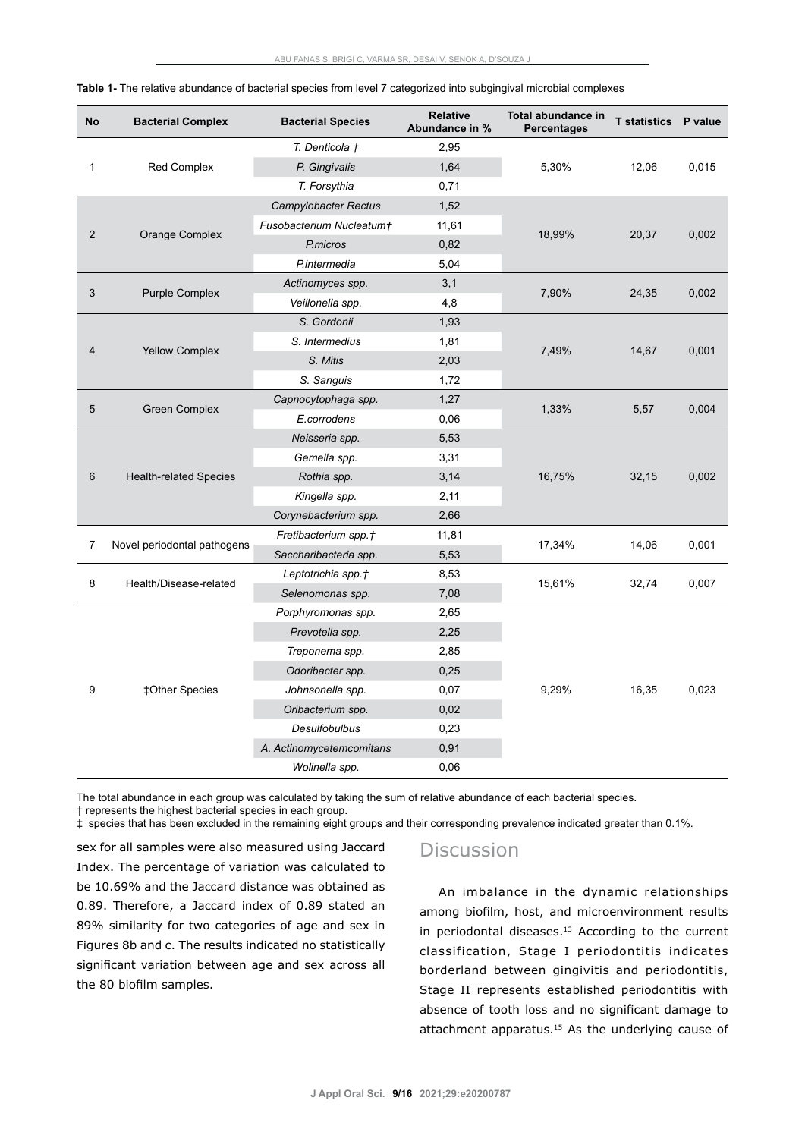| <b>No</b>      | <b>Bacterial Complex</b>      | <b>Bacterial Species</b> | <b>Relative</b><br>Abundance in % | Total abundance in<br>Percentages | <b>T</b> statistics | P value |
|----------------|-------------------------------|--------------------------|-----------------------------------|-----------------------------------|---------------------|---------|
| 1              |                               | T. Denticola †           | 2,95                              | 5,30%                             | 12,06               | 0,015   |
|                | <b>Red Complex</b>            | P. Gingivalis            | 1,64                              |                                   |                     |         |
|                |                               | T. Forsythia             | 0,71                              |                                   |                     |         |
| $\overline{c}$ | Orange Complex                | Campylobacter Rectus     | 1,52                              | 18,99%                            | 20,37               | 0,002   |
|                |                               | Fusobacterium Nucleatum† | 11,61                             |                                   |                     |         |
|                |                               | P.micros                 | 0,82                              |                                   |                     |         |
|                |                               | P.intermedia             | 5,04                              |                                   |                     |         |
|                | <b>Purple Complex</b>         | Actinomyces spp.         | 3,1                               | 7,90%                             | 24,35               | 0,002   |
| 3              |                               | Veillonella spp.         | 4,8                               |                                   |                     |         |
|                | <b>Yellow Complex</b>         | S. Gordonii              | 1,93                              |                                   | 14,67               | 0,001   |
|                |                               | S. Intermedius           | 1,81                              | 7,49%                             |                     |         |
| $\overline{4}$ |                               | S. Mitis                 | 2,03                              |                                   |                     |         |
|                |                               | S. Sanguis               | 1,72                              |                                   |                     |         |
|                | <b>Green Complex</b>          | Capnocytophaga spp.      | 1,27                              | 1,33%                             | 5,57                | 0,004   |
| 5              |                               | E.corrodens              | 0,06                              |                                   |                     |         |
|                | <b>Health-related Species</b> | Neisseria spp.           | 5,53                              | 16,75%                            | 32,15               | 0,002   |
|                |                               | Gemella spp.             | 3,31                              |                                   |                     |         |
| 6              |                               | Rothia spp.              | 3,14                              |                                   |                     |         |
|                |                               | Kingella spp.            | 2,11                              |                                   |                     |         |
|                |                               | Corynebacterium spp.     | 2,66                              |                                   |                     |         |
| 7              | Novel periodontal pathogens   | Fretibacterium spp.†     | 11,81                             |                                   | 14,06               | 0,001   |
|                |                               | Saccharibacteria spp.    | 5,53                              | 17,34%                            |                     |         |
|                | Health/Disease-related        | Leptotrichia spp.†       | 8,53                              |                                   | 32,74               | 0,007   |
| 8              |                               | Selenomonas spp.         | 7,08                              | 15,61%                            |                     |         |
|                | ‡Other Species                | Porphyromonas spp.       | 2,65                              | 9,29%<br>16,35                    |                     | 0,023   |
|                |                               | Prevotella spp.          | 2,25                              |                                   |                     |         |
|                |                               | Treponema spp.           | 2,85                              |                                   |                     |         |
|                |                               | Odoribacter spp.         | 0,25                              |                                   |                     |         |
| 9              |                               | Johnsonella spp.         | 0,07                              |                                   |                     |         |
|                |                               | Oribacterium spp.        | 0,02                              |                                   |                     |         |
|                |                               | Desulfobulbus            | 0,23                              |                                   |                     |         |
|                |                               | A. Actinomycetemcomitans | 0,91                              |                                   |                     |         |
|                |                               | Wolinella spp.           | 0,06                              |                                   |                     |         |

**Table 1-** The relative abundance of bacterial species from level 7 categorized into subgingival microbial complexes

The total abundance in each group was calculated by taking the sum of relative abundance of each bacterial species.

† represents the highest bacterial species in each group.

‡ species that has been excluded in the remaining eight groups and their corresponding prevalence indicated greater than 0.1%.

sex for all samples were also measured using Jaccard Index. The percentage of variation was calculated to be 10.69% and the Jaccard distance was obtained as 0.89. Therefore, a Jaccard index of 0.89 stated an 89% similarity for two categories of age and sex in Figures 8b and c. The results indicated no statistically significant variation between age and sex across all the 80 biofilm samples.

## **Discussion**

An imbalance in the dynamic relationships among biofilm, host, and microenvironment results in periodontal diseases. $13$  According to the current classification, Stage I periodontitis indicates borderland between gingivitis and periodontitis, Stage II represents established periodontitis with absence of tooth loss and no significant damage to attachment apparatus.15 As the underlying cause of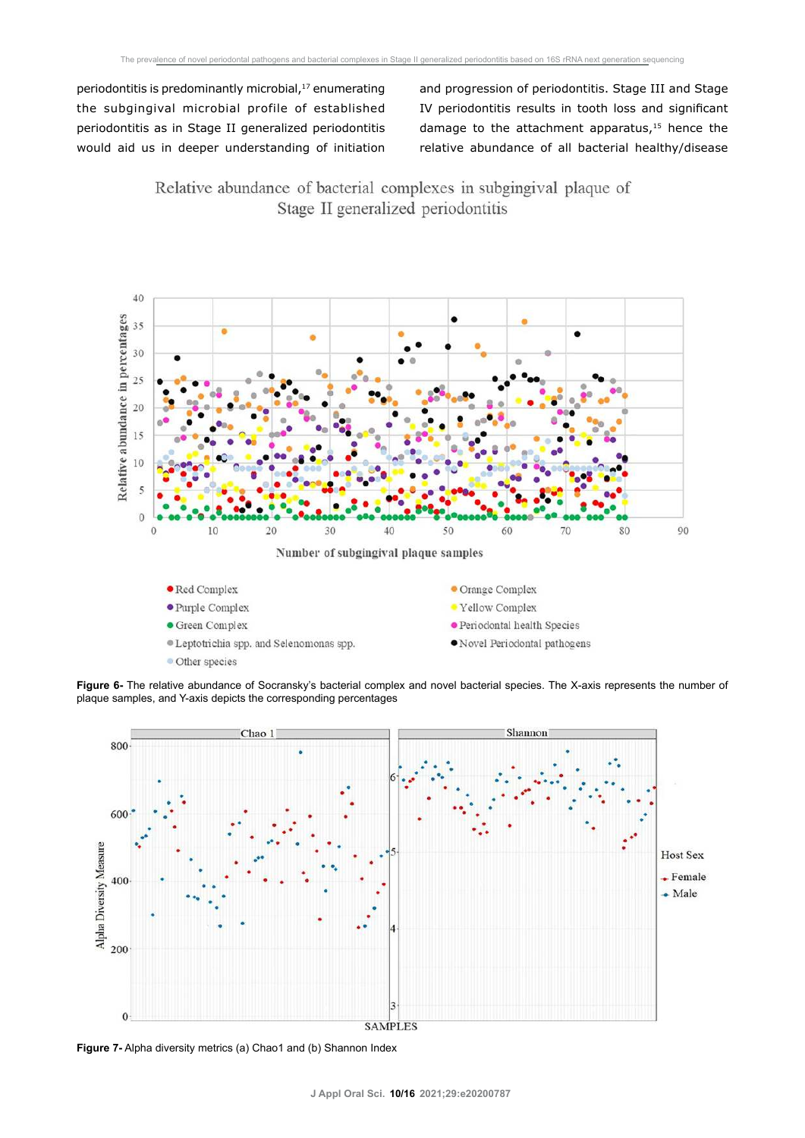periodontitis is predominantly microbial, $17$  enumerating the subgingival microbial profile of established periodontitis as in Stage II generalized periodontitis would aid us in deeper understanding of initiation

and progression of periodontitis. Stage III and Stage IV periodontitis results in tooth loss and significant damage to the attachment apparatus, $15$  hence the relative abundance of all bacterial healthy/disease

Relative abundance of bacterial complexes in subgingival plaque of Stage II generalized periodontitis



**Figure 6-** The relative abundance of Socransky's bacterial complex and novel bacterial species. The X-axis represents the number of plaque samples, and Y-axis depicts the corresponding percentages



**Figure 7-** Alpha diversity metrics (a) Chao1 and (b) Shannon Index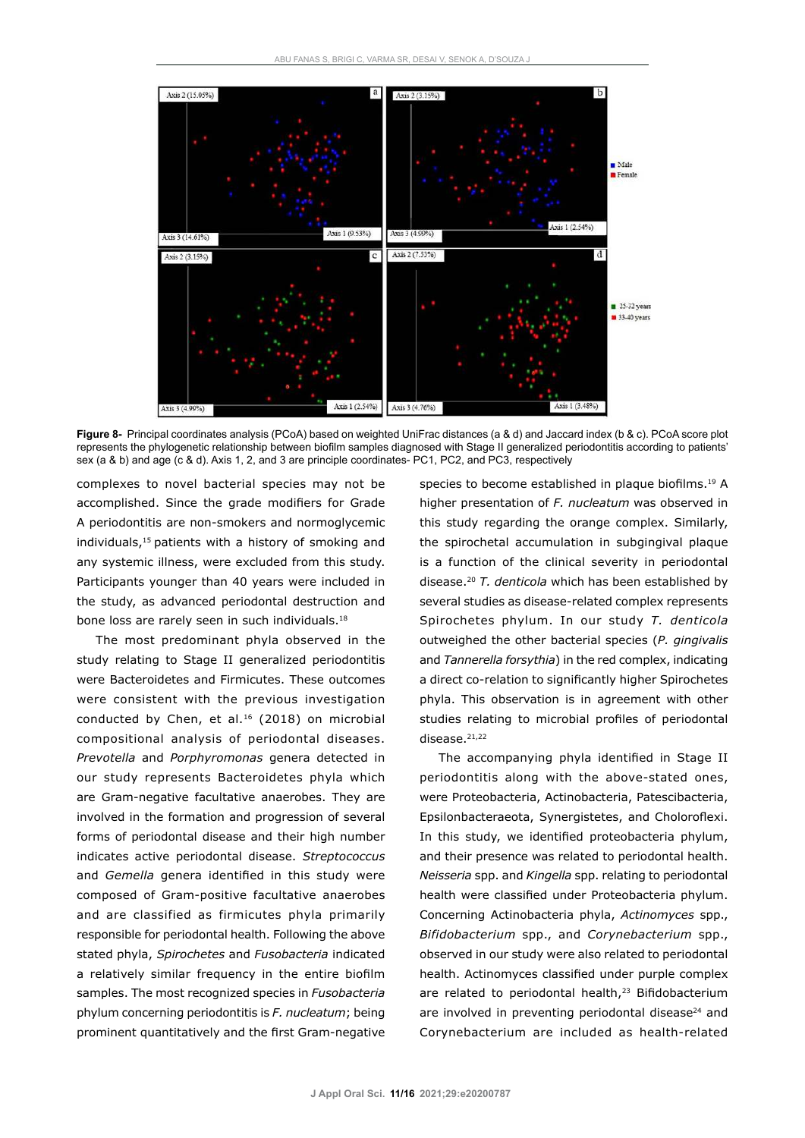

**Figure 8-** Principal coordinates analysis (PCoA) based on weighted UniFrac distances (a & d) and Jaccard index (b & c). PCoA score plot represents the phylogenetic relationship between biofilm samples diagnosed with Stage II generalized periodontitis according to patients' sex (a & b) and age (c & d). Axis 1, 2, and 3 are principle coordinates- PC1, PC2, and PC3, respectively

complexes to novel bacterial species may not be accomplished. Since the grade modifiers for Grade A periodontitis are non-smokers and normoglycemic individuals,<sup>15</sup> patients with a history of smoking and any systemic illness, were excluded from this study. Participants younger than 40 years were included in the study, as advanced periodontal destruction and bone loss are rarely seen in such individuals.<sup>18</sup>

The most predominant phyla observed in the study relating to Stage II generalized periodontitis were Bacteroidetes and Firmicutes. These outcomes were consistent with the previous investigation conducted by Chen, et al.<sup>16</sup> (2018) on microbial compositional analysis of periodontal diseases. *Prevotella* and *Porphyromonas* genera detected in our study represents Bacteroidetes phyla which are Gram-negative facultative anaerobes. They are involved in the formation and progression of several forms of periodontal disease and their high number indicates active periodontal disease. *Streptococcus* and *Gemella* genera identified in this study were composed of Gram-positive facultative anaerobes and are classified as firmicutes phyla primarily responsible for periodontal health. Following the above stated phyla, *Spirochetes* and *Fusobacteria* indicated a relatively similar frequency in the entire biofilm samples. The most recognized species in *Fusobacteria*  phylum concerning periodontitis is *F. nucleatum*; being prominent quantitatively and the first Gram-negative

species to become established in plaque biofilms.<sup>19</sup> A higher presentation of *F. nucleatum* was observed in this study regarding the orange complex. Similarly, the spirochetal accumulation in subgingival plaque is a function of the clinical severity in periodontal disease.<sup>20</sup> *T. denticola* which has been established by several studies as disease-related complex represents Spirochetes phylum. In our study *T. denticola*  outweighed the other bacterial species (*P. gingivalis*  and *Tannerella forsythia*) in the red complex, indicating a direct co-relation to significantly higher Spirochetes phyla. This observation is in agreement with other studies relating to microbial profiles of periodontal disease. $21,22$ 

The accompanying phyla identified in Stage II periodontitis along with the above-stated ones, were Proteobacteria, Actinobacteria, Patescibacteria, Epsilonbacteraeota, Synergistetes, and Choloroflexi. In this study, we identified proteobacteria phylum, and their presence was related to periodontal health. *Neisseria* spp. and *Kingella* spp. relating to periodontal health were classified under Proteobacteria phylum. Concerning Actinobacteria phyla, *Actinomyces* spp., *Bifidobacterium* spp., and *Corynebacterium* spp., observed in our study were also related to periodontal health. Actinomyces classified under purple complex are related to periodontal health, $23$  Bifidobacterium are involved in preventing periodontal disease<sup>24</sup> and Corynebacterium are included as health-related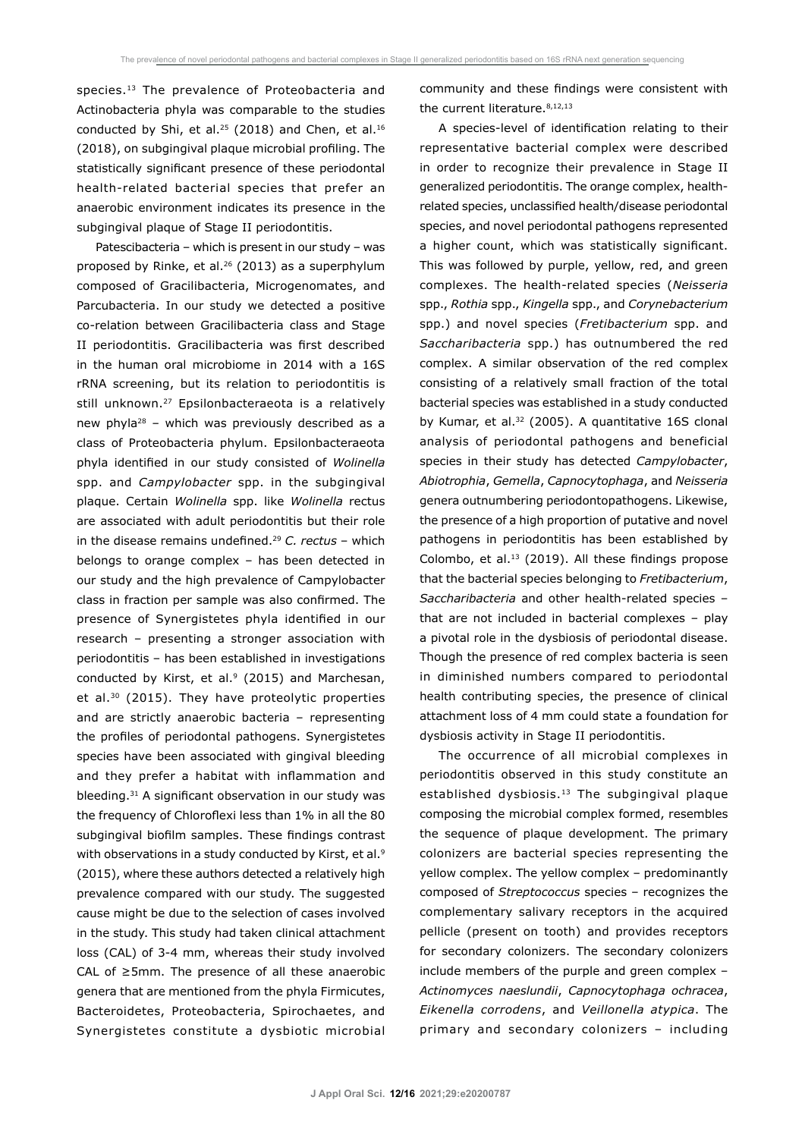species.<sup>13</sup> The prevalence of Proteobacteria and Actinobacteria phyla was comparable to the studies conducted by Shi, et al.<sup>25</sup> (2018) and Chen, et al.<sup>16</sup> (2018), on subgingival plaque microbial profiling. The statistically significant presence of these periodontal health-related bacterial species that prefer an anaerobic environment indicates its presence in the subgingival plaque of Stage II periodontitis.

Patescibacteria – which is present in our study – was proposed by Rinke, et al.<sup>26</sup> (2013) as a superphylum composed of Gracilibacteria, Microgenomates, and Parcubacteria. In our study we detected a positive co-relation between Gracilibacteria class and Stage II periodontitis. Gracilibacteria was first described in the human oral microbiome in 2014 with a 16S rRNA screening, but its relation to periodontitis is still unknown.<sup>27</sup> Epsilonbacteraeota is a relatively new phyla<sup>28</sup> – which was previously described as a class of Proteobacteria phylum. Epsilonbacteraeota phyla identified in our study consisted of *Wolinella*  spp. and *Campylobacter* spp. in the subgingival plaque. Certain *Wolinella* spp. like *Wolinella* rectus are associated with adult periodontitis but their role in the disease remains undefined.<sup>29</sup> *C. rectus* – which belongs to orange complex – has been detected in our study and the high prevalence of Campylobacter class in fraction per sample was also confirmed. The presence of Synergistetes phyla identified in our research – presenting a stronger association with periodontitis – has been established in investigations conducted by Kirst, et al. $9(2015)$  and Marchesan, et al.<sup>30</sup> (2015). They have proteolytic properties and are strictly anaerobic bacteria – representing the profiles of periodontal pathogens. Synergistetes species have been associated with gingival bleeding and they prefer a habitat with inflammation and bleeding.<sup>31</sup> A significant observation in our study was the frequency of Chloroflexi less than 1% in all the 80 subgingival biofilm samples. These findings contrast with observations in a study conducted by Kirst, et al.<sup>9</sup> (2015), where these authors detected a relatively high prevalence compared with our study. The suggested cause might be due to the selection of cases involved in the study. This study had taken clinical attachment loss (CAL) of 3-4 mm, whereas their study involved CAL of ≥5mm. The presence of all these anaerobic genera that are mentioned from the phyla Firmicutes, Bacteroidetes, Proteobacteria, Spirochaetes, and Synergistetes constitute a dysbiotic microbial

community and these findings were consistent with the current literature. 8,12,13

A species-level of identification relating to their representative bacterial complex were described in order to recognize their prevalence in Stage II generalized periodontitis. The orange complex, healthrelated species, unclassified health/disease periodontal species, and novel periodontal pathogens represented a higher count, which was statistically significant. This was followed by purple, yellow, red, and green complexes. The health-related species (*Neisseria* spp., *Rothia* spp., *Kingella* spp., and *Corynebacterium*  spp.) and novel species (*Fretibacterium* spp. and *Saccharibacteria* spp.) has outnumbered the red complex. A similar observation of the red complex consisting of a relatively small fraction of the total bacterial species was established in a study conducted by Kumar, et al.<sup>32</sup> (2005). A quantitative 16S clonal analysis of periodontal pathogens and beneficial species in their study has detected *Campylobacter*, *Abiotrophia*, *Gemella*, *Capnocytophaga*, and *Neisseria*  genera outnumbering periodontopathogens. Likewise, the presence of a high proportion of putative and novel pathogens in periodontitis has been established by Colombo, et al.<sup>13</sup> (2019). All these findings propose that the bacterial species belonging to *Fretibacterium*, *Saccharibacteria* and other health-related species – that are not included in bacterial complexes – play a pivotal role in the dysbiosis of periodontal disease. Though the presence of red complex bacteria is seen in diminished numbers compared to periodontal health contributing species, the presence of clinical attachment loss of 4 mm could state a foundation for dysbiosis activity in Stage II periodontitis.

The occurrence of all microbial complexes in periodontitis observed in this study constitute an established dysbiosis.13 The subgingival plaque composing the microbial complex formed, resembles the sequence of plaque development. The primary colonizers are bacterial species representing the yellow complex. The yellow complex – predominantly composed of *Streptococcus* species – recognizes the complementary salivary receptors in the acquired pellicle (present on tooth) and provides receptors for secondary colonizers. The secondary colonizers include members of the purple and green complex – *Actinomyces naeslundii*, *Capnocytophaga ochracea*, *Eikenella corrodens*, and *Veillonella atypica*. The primary and secondary colonizers – including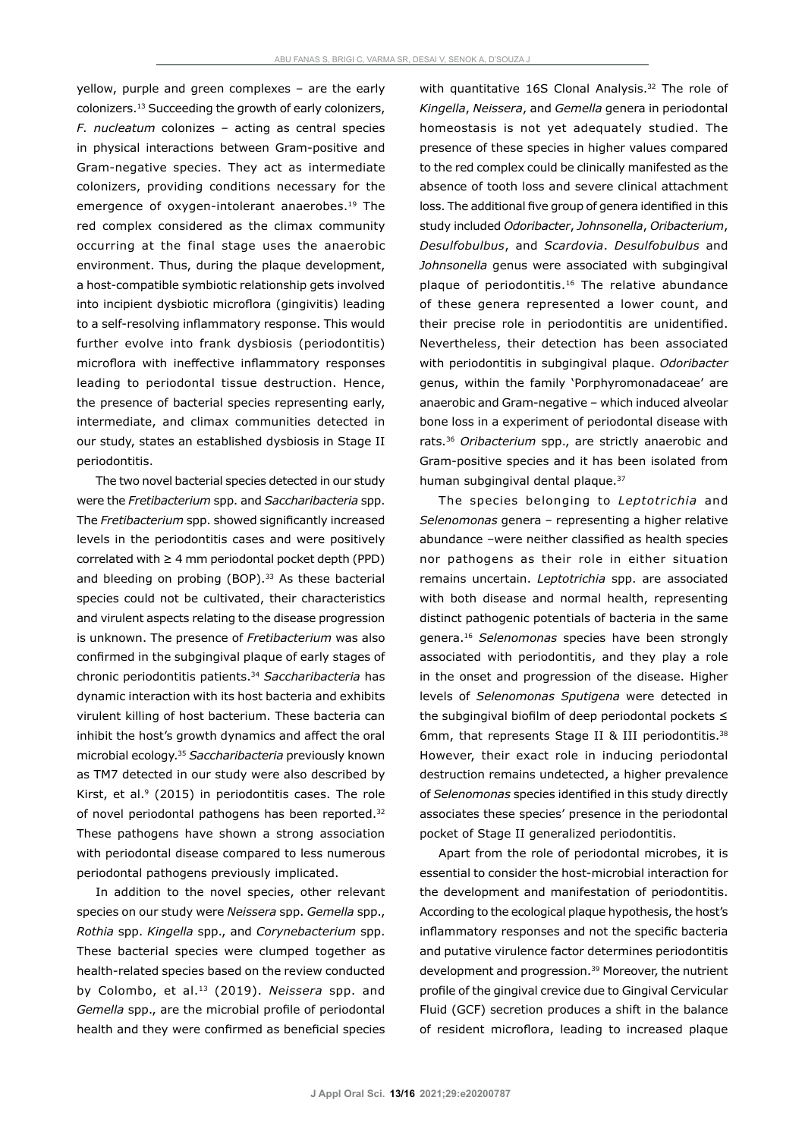yellow, purple and green complexes – are the early colonizers.<sup>13</sup> Succeeding the growth of early colonizers, *F. nucleatum* colonizes – acting as central species in physical interactions between Gram-positive and Gram-negative species. They act as intermediate colonizers, providing conditions necessary for the emergence of oxygen-intolerant anaerobes.<sup>19</sup> The red complex considered as the climax community occurring at the final stage uses the anaerobic environment. Thus, during the plaque development, a host-compatible symbiotic relationship gets involved into incipient dysbiotic microflora (gingivitis) leading to a self-resolving inflammatory response. This would further evolve into frank dysbiosis (periodontitis) microflora with ineffective inflammatory responses leading to periodontal tissue destruction. Hence, the presence of bacterial species representing early, intermediate, and climax communities detected in our study, states an established dysbiosis in Stage II periodontitis.

The two novel bacterial species detected in our study were the *Fretibacterium* spp. and *Saccharibacteria* spp. The *Fretibacterium* spp. showed significantly increased levels in the periodontitis cases and were positively correlated with  $\geq 4$  mm periodontal pocket depth (PPD) and bleeding on probing (BOP).<sup>33</sup> As these bacterial species could not be cultivated, their characteristics and virulent aspects relating to the disease progression is unknown. The presence of *Fretibacterium* was also confirmed in the subgingival plaque of early stages of chronic periodontitis patients.<sup>34</sup> *Saccharibacteria* has dynamic interaction with its host bacteria and exhibits virulent killing of host bacterium. These bacteria can inhibit the host's growth dynamics and affect the oral microbial ecology.<sup>35</sup> *Saccharibacteria* previously known as TM7 detected in our study were also described by Kirst, et al.<sup>9</sup> (2015) in periodontitis cases. The role of novel periodontal pathogens has been reported.<sup>32</sup> These pathogens have shown a strong association with periodontal disease compared to less numerous periodontal pathogens previously implicated.

In addition to the novel species, other relevant species on our study were *Neissera* spp. *Gemella* spp., *Rothia* spp. *Kingella* spp., and *Corynebacterium* spp. These bacterial species were clumped together as health-related species based on the review conducted by Colombo, et al.<sup>13</sup> (2019). *Neissera* spp. and *Gemella* spp., are the microbial profile of periodontal health and they were confirmed as beneficial species with quantitative 16S Clonal Analysis.<sup>32</sup> The role of *Kingella*, *Neissera*, and *Gemella* genera in periodontal homeostasis is not yet adequately studied. The presence of these species in higher values compared to the red complex could be clinically manifested as the absence of tooth loss and severe clinical attachment loss. The additional five group of genera identified in this study included *Odoribacter*, *Johnsonella*, *Oribacterium*, *Desulfobulbus*, and *Scardovia*. *Desulfobulbus* and *Johnsonella* genus were associated with subgingival plaque of periodontitis.<sup>16</sup> The relative abundance of these genera represented a lower count, and their precise role in periodontitis are unidentified. Nevertheless, their detection has been associated with periodontitis in subgingival plaque. *Odoribacter* genus, within the family 'Porphyromonadaceae' are anaerobic and Gram-negative – which induced alveolar bone loss in a experiment of periodontal disease with rats.<sup>36</sup> *Oribacterium* spp., are strictly anaerobic and Gram-positive species and it has been isolated from human subgingival dental plaque.<sup>37</sup>

The species belonging to *Leptotrichia* and *Selenomonas* genera – representing a higher relative abundance –were neither classified as health species nor pathogens as their role in either situation remains uncertain. *Leptotrichia* spp. are associated with both disease and normal health, representing distinct pathogenic potentials of bacteria in the same genera.<sup>16</sup> *Selenomonas* species have been strongly associated with periodontitis, and they play a role in the onset and progression of the disease. Higher levels of *Selenomonas Sputigena* were detected in the subgingival biofilm of deep periodontal pockets ≤ 6mm, that represents Stage II & III periodontitis.<sup>38</sup> However, their exact role in inducing periodontal destruction remains undetected, a higher prevalence of *Selenomonas* species identified in this study directly associates these species' presence in the periodontal pocket of Stage II generalized periodontitis.

Apart from the role of periodontal microbes, it is essential to consider the host-microbial interaction for the development and manifestation of periodontitis. According to the ecological plaque hypothesis, the host's inflammatory responses and not the specific bacteria and putative virulence factor determines periodontitis development and progression.<sup>39</sup> Moreover, the nutrient profile of the gingival crevice due to Gingival Cervicular Fluid (GCF) secretion produces a shift in the balance of resident microflora, leading to increased plaque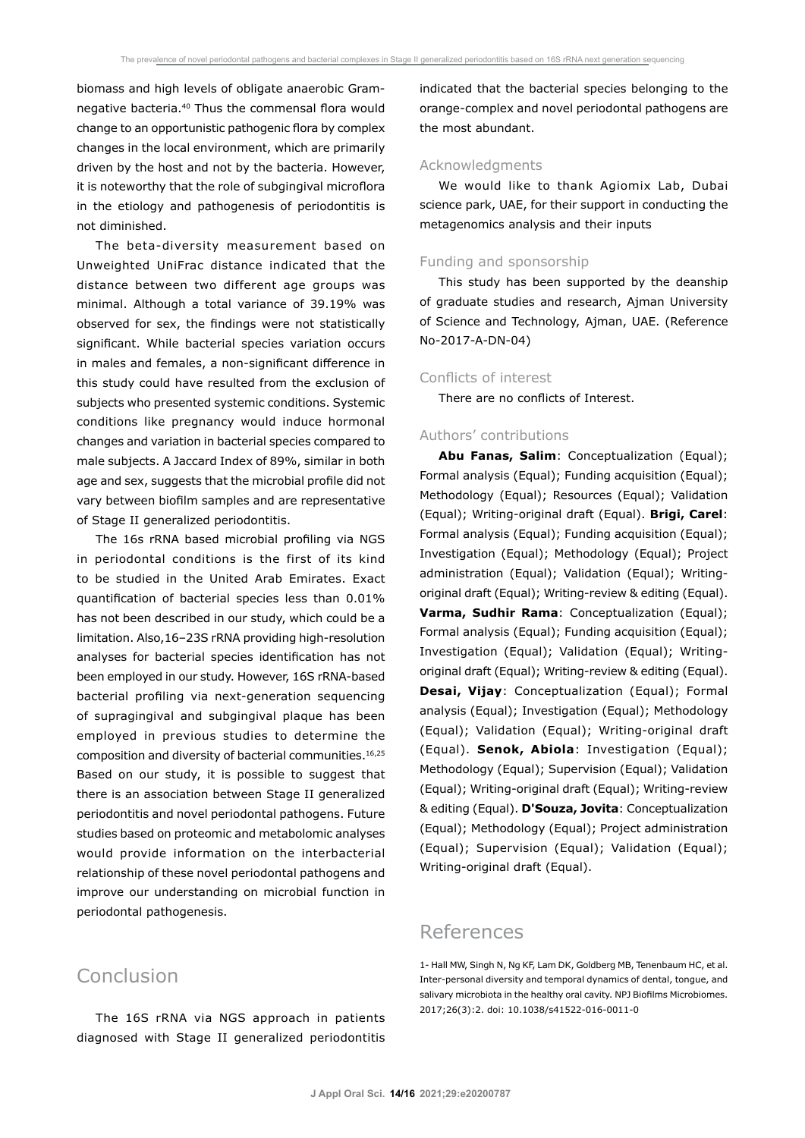biomass and high levels of obligate anaerobic Gramnegative bacteria.<sup>40</sup> Thus the commensal flora would change to an opportunistic pathogenic flora by complex changes in the local environment, which are primarily driven by the host and not by the bacteria. However, it is noteworthy that the role of subgingival microflora in the etiology and pathogenesis of periodontitis is not diminished.

The beta-diversity measurement based on Unweighted UniFrac distance indicated that the distance between two different age groups was minimal. Although a total variance of 39.19% was observed for sex, the findings were not statistically significant. While bacterial species variation occurs in males and females, a non-significant difference in this study could have resulted from the exclusion of subjects who presented systemic conditions. Systemic conditions like pregnancy would induce hormonal changes and variation in bacterial species compared to male subjects. A Jaccard Index of 89%, similar in both age and sex, suggests that the microbial profile did not vary between biofilm samples and are representative of Stage II generalized periodontitis.

The 16s rRNA based microbial profiling via NGS in periodontal conditions is the first of its kind to be studied in the United Arab Emirates. Exact quantification of bacterial species less than 0.01% has not been described in our study, which could be a limitation. Also,16–23S rRNA providing high-resolution analyses for bacterial species identification has not been employed in our study. However, 16S rRNA-based bacterial profiling via next-generation sequencing of supragingival and subgingival plaque has been employed in previous studies to determine the composition and diversity of bacterial communities.16,25 Based on our study, it is possible to suggest that there is an association between Stage II generalized periodontitis and novel periodontal pathogens. Future studies based on proteomic and metabolomic analyses would provide information on the interbacterial relationship of these novel periodontal pathogens and improve our understanding on microbial function in periodontal pathogenesis.

# Conclusion

The 16S rRNA via NGS approach in patients diagnosed with Stage II generalized periodontitis

indicated that the bacterial species belonging to the orange-complex and novel periodontal pathogens are the most abundant.

### Acknowledgments

We would like to thank Agiomix Lab, Dubai science park, UAE, for their support in conducting the metagenomics analysis and their inputs

#### Funding and sponsorship

This study has been supported by the deanship of graduate studies and research, Ajman University of Science and Technology, Ajman, UAE. (Reference No-2017-A-DN-04)

## Conflicts of interest

There are no conflicts of Interest.

## Authors' contributions

**Abu Fanas, Salim**: Conceptualization (Equal); Formal analysis (Equal); Funding acquisition (Equal); Methodology (Equal); Resources (Equal); Validation (Equal); Writing-original draft (Equal). **Brigi, Carel**: Formal analysis (Equal); Funding acquisition (Equal); Investigation (Equal); Methodology (Equal); Project administration (Equal); Validation (Equal); Writingoriginal draft (Equal); Writing-review & editing (Equal). **Varma, Sudhir Rama**: Conceptualization (Equal); Formal analysis (Equal); Funding acquisition (Equal); Investigation (Equal); Validation (Equal); Writingoriginal draft (Equal); Writing-review & editing (Equal). **Desai, Vijay**: Conceptualization (Equal); Formal analysis (Equal); Investigation (Equal); Methodology (Equal); Validation (Equal); Writing-original draft (Equal). **Senok, Abiola**: Investigation (Equal); Methodology (Equal); Supervision (Equal); Validation (Equal); Writing-original draft (Equal); Writing-review & editing (Equal). **D'Souza, Jovita**: Conceptualization (Equal); Methodology (Equal); Project administration (Equal); Supervision (Equal); Validation (Equal); Writing-original draft (Equal).

# References

1- Hall MW, Singh N, Ng KF, Lam DK, Goldberg MB, Tenenbaum HC, et al. Inter-personal diversity and temporal dynamics of dental, tongue, and salivary microbiota in the healthy oral cavity. NPJ Biofilms Microbiomes. 2017;26(3):2. doi: 10.1038/s41522-016-0011-0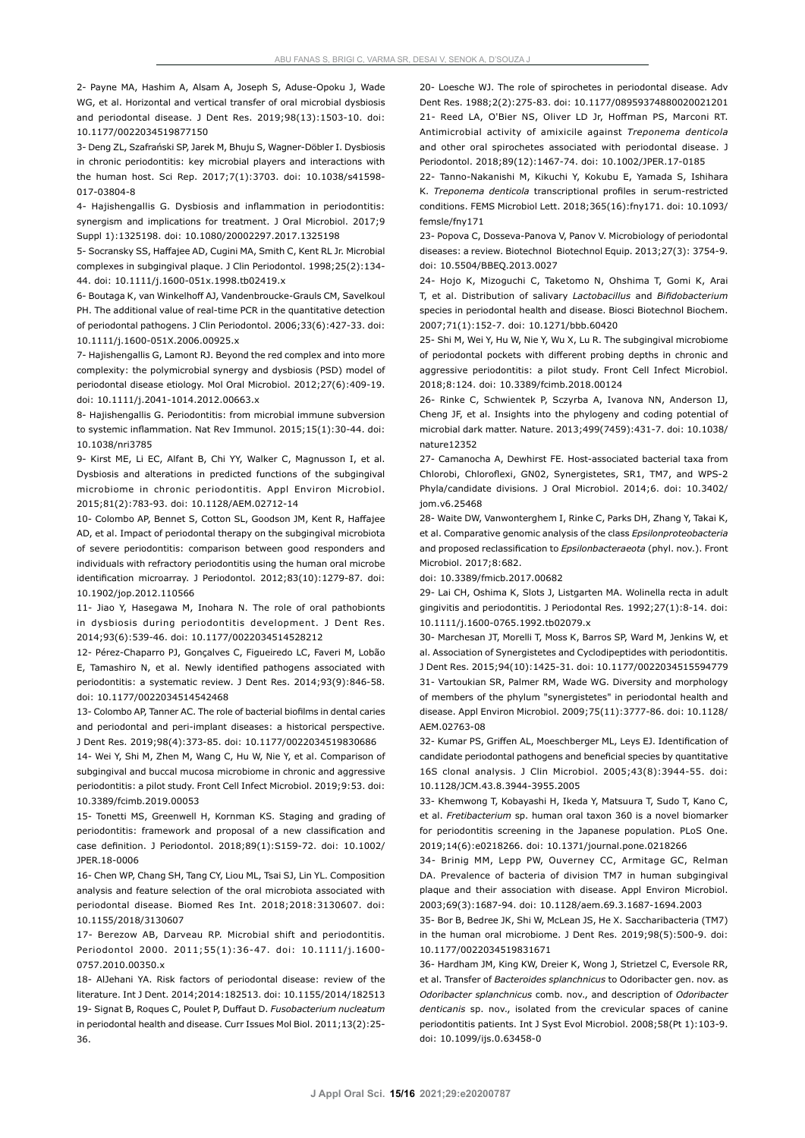2- Payne MA, Hashim A, Alsam A, Joseph S, Aduse-Opoku J, Wade WG, et al. Horizontal and vertical transfer of oral microbial dysbiosis and periodontal disease. J Dent Res. 2019;98(13):1503-10. doi: 10.1177/0022034519877150

3- Deng ZL, Szafrański SP, Jarek M, Bhuju S, Wagner-Döbler I. Dysbiosis in chronic periodontitis: key microbial players and interactions with the human host. Sci Rep. 2017;7(1):3703. doi: 10.1038/s41598- 017-03804-8

4- Hajishengallis G. Dysbiosis and inflammation in periodontitis: synergism and implications for treatment. J Oral Microbiol. 2017;9 Suppl 1):1325198. doi: 10.1080/20002297.2017.1325198

5- Socransky SS, Haffajee AD, Cugini MA, Smith C, Kent RL Jr. Microbial complexes in subgingival plaque. J Clin Periodontol. 1998;25(2):134- 44. doi: 10.1111/j.1600-051x.1998.tb02419.x

6- Boutaga K, van Winkelhoff AJ, Vandenbroucke-Grauls CM, Savelkoul PH. The additional value of real-time PCR in the quantitative detection of periodontal pathogens. J Clin Periodontol. 2006;33(6):427-33. doi: 10.1111/j.1600-051X.2006.00925.x

7- Hajishengallis G, Lamont RJ. Beyond the red complex and into more complexity: the polymicrobial synergy and dysbiosis (PSD) model of periodontal disease etiology. Mol Oral Microbiol. 2012;27(6):409-19. doi: 10.1111/j.2041-1014.2012.00663.x

8- Hajishengallis G. Periodontitis: from microbial immune subversion to systemic inflammation. Nat Rev Immunol. 2015;15(1):30-44. doi: 10.1038/nri3785

9- Kirst ME, Li EC, Alfant B, Chi YY, Walker C, Magnusson I, et al. Dysbiosis and alterations in predicted functions of the subgingival microbiome in chronic periodontitis. Appl Environ Microbiol. 2015;81(2):783-93. doi: 10.1128/AEM.02712-14

10- Colombo AP, Bennet S, Cotton SL, Goodson JM, Kent R, Haffajee AD, et al. Impact of periodontal therapy on the subgingival microbiota of severe periodontitis: comparison between good responders and individuals with refractory periodontitis using the human oral microbe identification microarray. J Periodontol. 2012;83(10):1279-87. doi: 10.1902/jop.2012.110566

11- Jiao Y, Hasegawa M, Inohara N. The role of oral pathobionts in dysbiosis during periodontitis development. J Dent Res. 2014;93(6):539-46. doi: 10.1177/0022034514528212

12- Pérez-Chaparro PJ, Gonçalves C, Figueiredo LC, Faveri M, Lobão E, Tamashiro N, et al. Newly identified pathogens associated with periodontitis: a systematic review. J Dent Res. 2014;93(9):846-58. doi: 10.1177/0022034514542468

13- Colombo AP, Tanner AC. The role of bacterial biofilms in dental caries and periodontal and peri-implant diseases: a historical perspective. J Dent Res. 2019;98(4):373-85. doi: 10.1177/0022034519830686

14- Wei Y, Shi M, Zhen M, Wang C, Hu W, Nie Y, et al. Comparison of subgingival and buccal mucosa microbiome in chronic and aggressive periodontitis: a pilot study. Front Cell Infect Microbiol. 2019;9:53. doi: 10.3389/fcimb.2019.00053

15- Tonetti MS, Greenwell H, Kornman KS. Staging and grading of periodontitis: framework and proposal of a new classification and case definition. J Periodontol. 2018;89(1):S159-72. doi: 10.1002/ JPER.18-0006

16- Chen WP, Chang SH, Tang CY, Liou ML, Tsai SJ, Lin YL. Composition analysis and feature selection of the oral microbiota associated with periodontal disease. Biomed Res Int. 2018;2018:3130607. doi: 10.1155/2018/3130607

17- Berezow AB, Darveau RP. Microbial shift and periodontitis. Periodontol 2000. 2011;55(1):36-47. doi: 10.1111/j.1600- 0757.2010.00350.x

18- AlJehani YA. Risk factors of periodontal disease: review of the literature. Int J Dent. 2014;2014:182513. doi: 10.1155/2014/182513 19- Signat B, Roques C, Poulet P, Duffaut D. *Fusobacterium nucleatum* in periodontal health and disease. Curr Issues Mol Biol. 2011;13(2):25- 36.

20- Loesche WJ. The role of spirochetes in periodontal disease. Adv Dent Res. 1988;2(2):275-83. doi: 10.1177/08959374880020021201 21- Reed LA, O'Bier NS, Oliver LD Jr, Hoffman PS, Marconi RT. Antimicrobial activity of amixicile against *Treponema denticola*  and other oral spirochetes associated with periodontal disease. J Periodontol. 2018;89(12):1467-74. doi: 10.1002/JPER.17-0185

22- Tanno-Nakanishi M, Kikuchi Y, Kokubu E, Yamada S, Ishihara K. *Treponema denticola* transcriptional profiles in serum-restricted conditions. FEMS Microbiol Lett. 2018;365(16):fny171. doi: 10.1093/ femsle/fny171

23- Popova C, Dosseva-Panova V, Panov V. Microbiology of periodontal diseases: a review. Biotechnol Biotechnol Equip. 2013;27(3): 3754-9. doi: 10.5504/BBEQ.2013.0027

24- Hojo K, Mizoguchi C, Taketomo N, Ohshima T, Gomi K, Arai T, et al. Distribution of salivary *Lactobacillus* and *Bifidobacterium*  species in periodontal health and disease. Biosci Biotechnol Biochem. 2007;71(1):152-7. doi: 10.1271/bbb.60420

25- Shi M, Wei Y, Hu W, Nie Y, Wu X, Lu R. The subgingival microbiome of periodontal pockets with different probing depths in chronic and aggressive periodontitis: a pilot study. Front Cell Infect Microbiol. 2018;8:124. doi: 10.3389/fcimb.2018.00124

26- Rinke C, Schwientek P, Sczyrba A, Ivanova NN, Anderson IJ, Cheng JF, et al. Insights into the phylogeny and coding potential of microbial dark matter. Nature. 2013;499(7459):431-7. doi: 10.1038/ nature12352

27- Camanocha A, Dewhirst FE. Host-associated bacterial taxa from Chlorobi, Chloroflexi, GN02, Synergistetes, SR1, TM7, and WPS-2 Phyla/candidate divisions. J Oral Microbiol. 2014;6. doi: 10.3402/ jom.v6.25468

28- Waite DW, Vanwonterghem I, Rinke C, Parks DH, Zhang Y, Takai K, et al. Comparative genomic analysis of the class *Epsilonproteobacteria*  and proposed reclassification to *Epsilonbacteraeota* (phyl. nov.). Front Microbiol. 2017;8:682.

doi: 10.3389/fmicb.2017.00682

29- Lai CH, Oshima K, Slots J, Listgarten MA. Wolinella recta in adult gingivitis and periodontitis. J Periodontal Res. 1992;27(1):8-14. doi: 10.1111/j.1600-0765.1992.tb02079.x

30- Marchesan JT, Morelli T, Moss K, Barros SP, Ward M, Jenkins W, et al. Association of Synergistetes and Cyclodipeptides with periodontitis. J Dent Res. 2015;94(10):1425-31. doi: 10.1177/0022034515594779 31- Vartoukian SR, Palmer RM, Wade WG. Diversity and morphology of members of the phylum "synergistetes" in periodontal health and disease. Appl Environ Microbiol. 2009;75(11):3777-86. doi: 10.1128/ AEM.02763-08

32- Kumar PS, Griffen AL, Moeschberger ML, Leys EJ. Identification of candidate periodontal pathogens and beneficial species by quantitative 16S clonal analysis. J Clin Microbiol. 2005;43(8):3944-55. doi: 10.1128/JCM.43.8.3944-3955.2005

33- Khemwong T, Kobayashi H, Ikeda Y, Matsuura T, Sudo T, Kano C, et al. *Fretibacterium* sp. human oral taxon 360 is a novel biomarker for periodontitis screening in the Japanese population. PLoS One. 2019;14(6):e0218266. doi: 10.1371/journal.pone.0218266

34- Brinig MM, Lepp PW, Ouverney CC, Armitage GC, Relman DA. Prevalence of bacteria of division TM7 in human subgingival plaque and their association with disease. Appl Environ Microbiol. 2003;69(3):1687-94. doi: 10.1128/aem.69.3.1687-1694.2003

35- Bor B, Bedree JK, Shi W, McLean JS, He X. Saccharibacteria (TM7) in the human oral microbiome. J Dent Res. 2019;98(5):500-9. doi: 10.1177/0022034519831671

36- Hardham JM, King KW, Dreier K, Wong J, Strietzel C, Eversole RR, et al. Transfer of *Bacteroides splanchnicus* to Odoribacter gen. nov. as *Odoribacter splanchnicus* comb. nov., and description of *Odoribacter denticanis* sp. nov., isolated from the crevicular spaces of canine periodontitis patients. Int J Syst Evol Microbiol. 2008;58(Pt 1):103-9. doi: 10.1099/ijs.0.63458-0